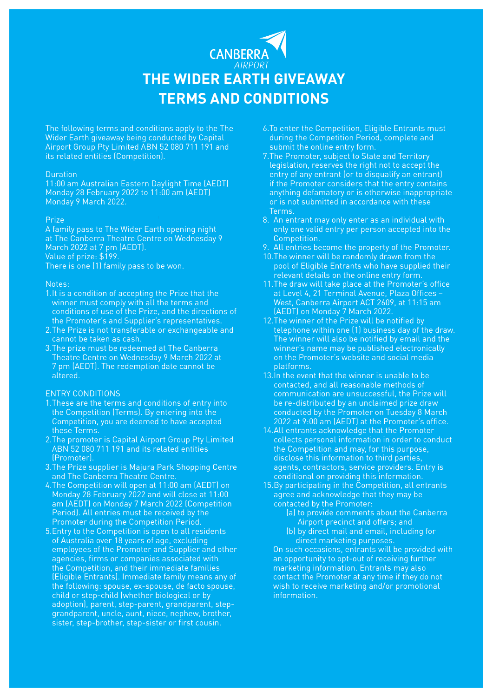# **CANBERR THE WIDER EARTH GIVEAWAY TERMS AND CONDITIONS**

The following terms and conditions apply to the The Wider Earth giveaway being conducted by Capital Airport Group Pty Limited ABN 52 080 711 191 and its related entities (Competition).

#### Duration

11:00 am Australian Eastern Daylight Time (AEDT) Monday 28 February 2022 to 11:00 am (AEDT) Monday 9 March 2022.

### **Prize**

A family pass to The Wider Earth opening night at The Canberra Theatre Centre on Wednesday 9 March 2022 at 7 pm (AEDT). Value of prize: \$199. There is one (1) family pass to be won.

#### Notes:

- 1.It is a condition of accepting the Prize that the winner must comply with all the terms and conditions of use of the Prize, and the directions of the Promoter's and Supplier's representatives.
- 2.The Prize is not transferable or exchangeable and cannot be taken as cash.
- 3.The prize must be redeemed at The Canberra Theatre Centre on Wednesday 9 March 2022 at 7 pm (AEDT). The redemption date cannot be altered.

## ENTRY CONDITIONS

- 1.These are the terms and conditions of entry into the Competition (Terms). By entering into the Competition, you are deemed to have accepted these Terms.
- 2.The promoter is Capital Airport Group Pty Limited ABN 52 080 711 191 and its related entities (Promoter).
- 3.The Prize supplier is Majura Park Shopping Centre and The Canberra Theatre Centre.
- 4.The Competition will open at 11:00 am (AEDT) on Monday 28 February 2022 and will close at 11:00 am (AEDT) on Monday 7 March 2022 (Competition Period). All entries must be received by the Promoter during the Competition Period.
- 5.Entry to the Competition is open to all residents of Australia over 18 years of age, excluding employees of the Promoter and Supplier and other agencies, firms or companies associated with the Competition, and their immediate families (Eligible Entrants). Immediate family means any of the following: spouse, ex-spouse, de facto spouse, child or step-child (whether biological or by adoption), parent, step-parent, grandparent, stepgrandparent, uncle, aunt, niece, nephew, brother, sister, step-brother, step-sister or first cousin.
- 6.To enter the Competition, Eligible Entrants must during the Competition Period, complete and submit the online entry form.
- 7.The Promoter, subject to State and Territory legislation, reserves the right not to accept the entry of any entrant (or to disqualify an entrant) if the Promoter considers that the entry contains anything defamatory or is otherwise inappropriate or is not submitted in accordance with these Terms.
- 8. An entrant may only enter as an individual with only one valid entry per person accepted into the Competition.
- 9. All entries become the property of the Promoter.
- 10.The winner will be randomly drawn from the pool of Eligible Entrants who have supplied their relevant details on the online entry form.
- 11.The draw will take place at the Promoter's office at Level 4, 21 Terminal Avenue, Plaza Offices – West, Canberra Airport ACT 2609, at 11:15 am (AEDT) on Monday 7 March 2022.
- 12.The winner of the Prize will be notified by telephone within one (1) business day of the draw. The winner will also be notified by email and the winner's name may be published electronically on the Promoter's website and social media platforms.
- 13.In the event that the winner is unable to be contacted, and all reasonable methods of communication are unsuccessful, the Prize will be re-distributed by an unclaimed prize draw conducted by the Promoter on Tuesday 8 March 2022 at 9:00 am (AEDT) at the Promoter's office.
- 14.All entrants acknowledge that the Promoter collects personal information in order to conduct the Competition and may, for this purpose, disclose this information to third parties, agents, contractors, service providers. Entry is conditional on providing this information.
- 15.By participating in the Competition, all entrants agree and acknowledge that they may be contacted by the Promoter:
	- (a) to provide comments about the Canberra Airport precinct and offers; and
	- (b) by direct mail and email, including for direct marketing purposes.

On such occasions, entrants will be provided with an opportunity to opt-out of receiving further marketing information. Entrants may also contact the Promoter at any time if they do not wish to receive marketing and/or promotional information.